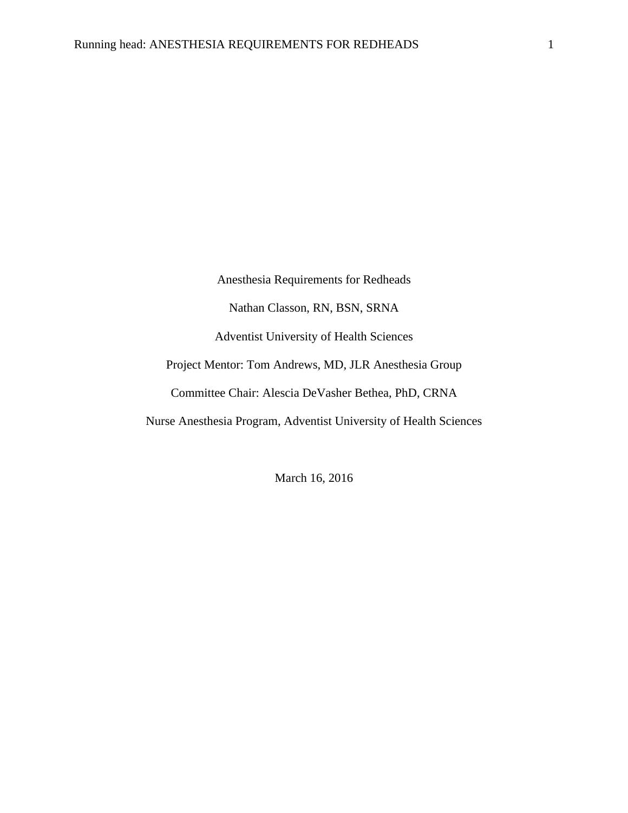Anesthesia Requirements for Redheads Nathan Classon, RN, BSN, SRNA Adventist University of Health Sciences Project Mentor: Tom Andrews, MD, JLR Anesthesia Group Committee Chair: Alescia DeVasher Bethea, PhD, CRNA Nurse Anesthesia Program, Adventist University of Health Sciences

March 16, 2016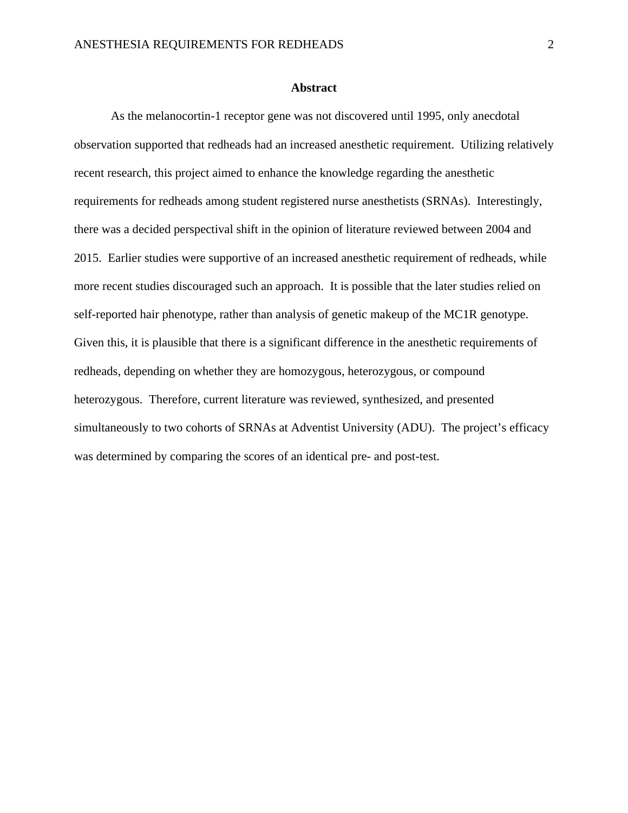### **Abstract**

As the melanocortin-1 receptor gene was not discovered until 1995, only anecdotal observation supported that redheads had an increased anesthetic requirement. Utilizing relatively recent research, this project aimed to enhance the knowledge regarding the anesthetic requirements for redheads among student registered nurse anesthetists (SRNAs). Interestingly, there was a decided perspectival shift in the opinion of literature reviewed between 2004 and 2015. Earlier studies were supportive of an increased anesthetic requirement of redheads, while more recent studies discouraged such an approach. It is possible that the later studies relied on self-reported hair phenotype, rather than analysis of genetic makeup of the MC1R genotype. Given this, it is plausible that there is a significant difference in the anesthetic requirements of redheads, depending on whether they are homozygous, heterozygous, or compound heterozygous. Therefore, current literature was reviewed, synthesized, and presented simultaneously to two cohorts of SRNAs at Adventist University (ADU). The project's efficacy was determined by comparing the scores of an identical pre- and post-test.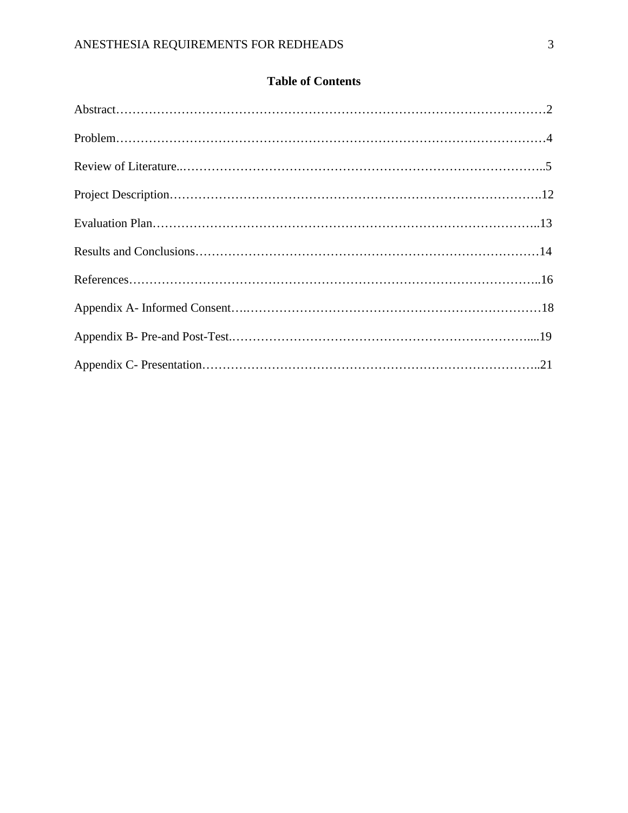## **Table of Contents**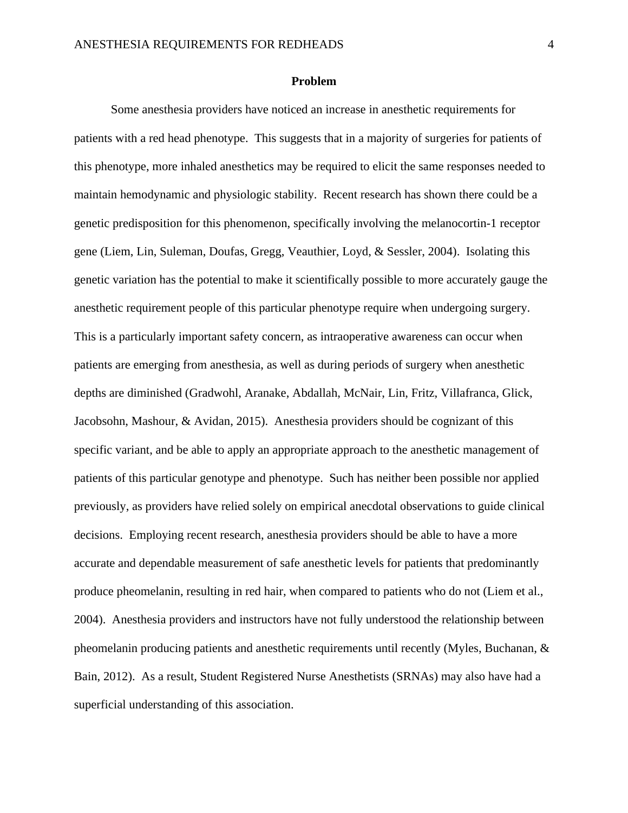## **Problem**

Some anesthesia providers have noticed an increase in anesthetic requirements for patients with a red head phenotype. This suggests that in a majority of surgeries for patients of this phenotype, more inhaled anesthetics may be required to elicit the same responses needed to maintain hemodynamic and physiologic stability. Recent research has shown there could be a genetic predisposition for this phenomenon, specifically involving the melanocortin-1 receptor gene (Liem, Lin, Suleman, Doufas, Gregg, Veauthier, Loyd, & Sessler, 2004). Isolating this genetic variation has the potential to make it scientifically possible to more accurately gauge the anesthetic requirement people of this particular phenotype require when undergoing surgery. This is a particularly important safety concern, as intraoperative awareness can occur when patients are emerging from anesthesia, as well as during periods of surgery when anesthetic depths are diminished (Gradwohl, Aranake, Abdallah, McNair, Lin, Fritz, Villafranca, Glick, Jacobsohn, Mashour, & Avidan, 2015). Anesthesia providers should be cognizant of this specific variant, and be able to apply an appropriate approach to the anesthetic management of patients of this particular genotype and phenotype. Such has neither been possible nor applied previously, as providers have relied solely on empirical anecdotal observations to guide clinical decisions. Employing recent research, anesthesia providers should be able to have a more accurate and dependable measurement of safe anesthetic levels for patients that predominantly produce pheomelanin, resulting in red hair, when compared to patients who do not (Liem et al., 2004). Anesthesia providers and instructors have not fully understood the relationship between pheomelanin producing patients and anesthetic requirements until recently (Myles, Buchanan, & Bain, 2012). As a result, Student Registered Nurse Anesthetists (SRNAs) may also have had a superficial understanding of this association.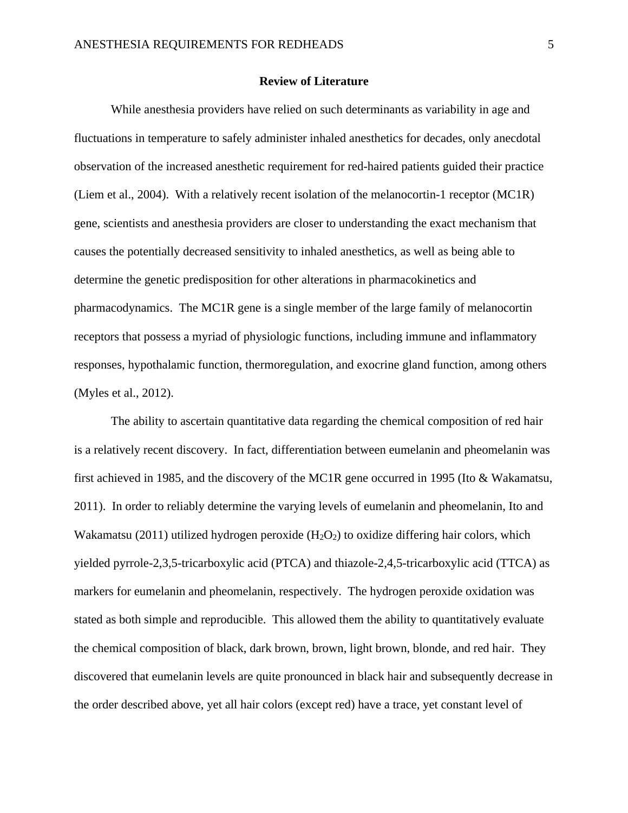## **Review of Literature**

While anesthesia providers have relied on such determinants as variability in age and fluctuations in temperature to safely administer inhaled anesthetics for decades, only anecdotal observation of the increased anesthetic requirement for red-haired patients guided their practice (Liem et al., 2004). With a relatively recent isolation of the melanocortin-1 receptor (MC1R) gene, scientists and anesthesia providers are closer to understanding the exact mechanism that causes the potentially decreased sensitivity to inhaled anesthetics, as well as being able to determine the genetic predisposition for other alterations in pharmacokinetics and pharmacodynamics. The MC1R gene is a single member of the large family of melanocortin receptors that possess a myriad of physiologic functions, including immune and inflammatory responses, hypothalamic function, thermoregulation, and exocrine gland function, among others (Myles et al., 2012).

The ability to ascertain quantitative data regarding the chemical composition of red hair is a relatively recent discovery. In fact, differentiation between eumelanin and pheomelanin was first achieved in 1985, and the discovery of the MC1R gene occurred in 1995 (Ito & Wakamatsu, 2011). In order to reliably determine the varying levels of eumelanin and pheomelanin, Ito and Wakamatsu (2011) utilized hydrogen peroxide  $(H_2O_2)$  to oxidize differing hair colors, which yielded pyrrole-2,3,5-tricarboxylic acid (PTCA) and thiazole-2,4,5-tricarboxylic acid (TTCA) as markers for eumelanin and pheomelanin, respectively. The hydrogen peroxide oxidation was stated as both simple and reproducible. This allowed them the ability to quantitatively evaluate the chemical composition of black, dark brown, brown, light brown, blonde, and red hair. They discovered that eumelanin levels are quite pronounced in black hair and subsequently decrease in the order described above, yet all hair colors (except red) have a trace, yet constant level of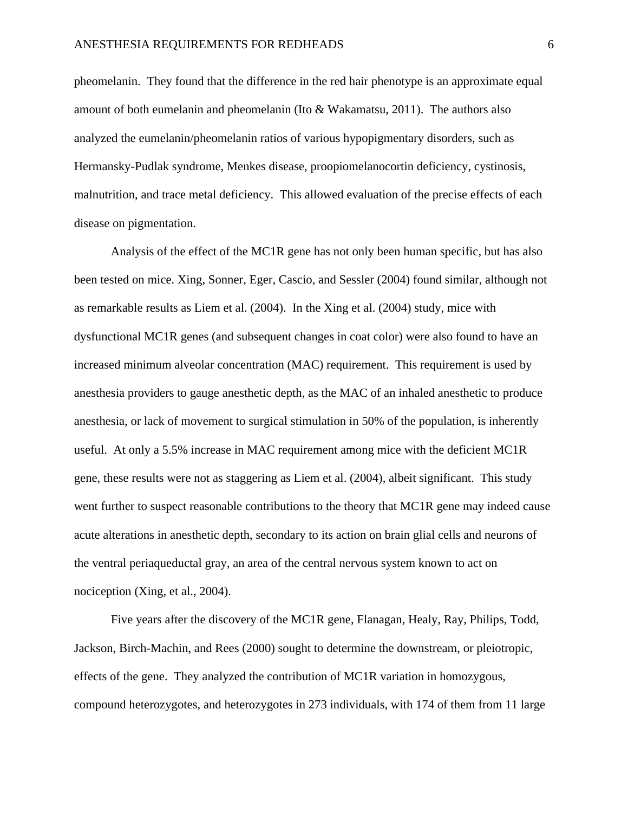pheomelanin. They found that the difference in the red hair phenotype is an approximate equal amount of both eumelanin and pheomelanin (Ito & Wakamatsu, 2011). The authors also analyzed the eumelanin/pheomelanin ratios of various hypopigmentary disorders, such as Hermansky-Pudlak syndrome, Menkes disease, proopiomelanocortin deficiency, cystinosis, malnutrition, and trace metal deficiency. This allowed evaluation of the precise effects of each disease on pigmentation.

Analysis of the effect of the MC1R gene has not only been human specific, but has also been tested on mice. Xing, Sonner, Eger, Cascio, and Sessler (2004) found similar, although not as remarkable results as Liem et al. (2004). In the Xing et al. (2004) study, mice with dysfunctional MC1R genes (and subsequent changes in coat color) were also found to have an increased minimum alveolar concentration (MAC) requirement. This requirement is used by anesthesia providers to gauge anesthetic depth, as the MAC of an inhaled anesthetic to produce anesthesia, or lack of movement to surgical stimulation in 50% of the population, is inherently useful. At only a 5.5% increase in MAC requirement among mice with the deficient MC1R gene, these results were not as staggering as Liem et al. (2004), albeit significant. This study went further to suspect reasonable contributions to the theory that MC1R gene may indeed cause acute alterations in anesthetic depth, secondary to its action on brain glial cells and neurons of the ventral periaqueductal gray, an area of the central nervous system known to act on nociception (Xing, et al., 2004).

Five years after the discovery of the MC1R gene, Flanagan, Healy, Ray, Philips, Todd, Jackson, Birch-Machin, and Rees (2000) sought to determine the downstream, or pleiotropic, effects of the gene. They analyzed the contribution of MC1R variation in homozygous, compound heterozygotes, and heterozygotes in 273 individuals, with 174 of them from 11 large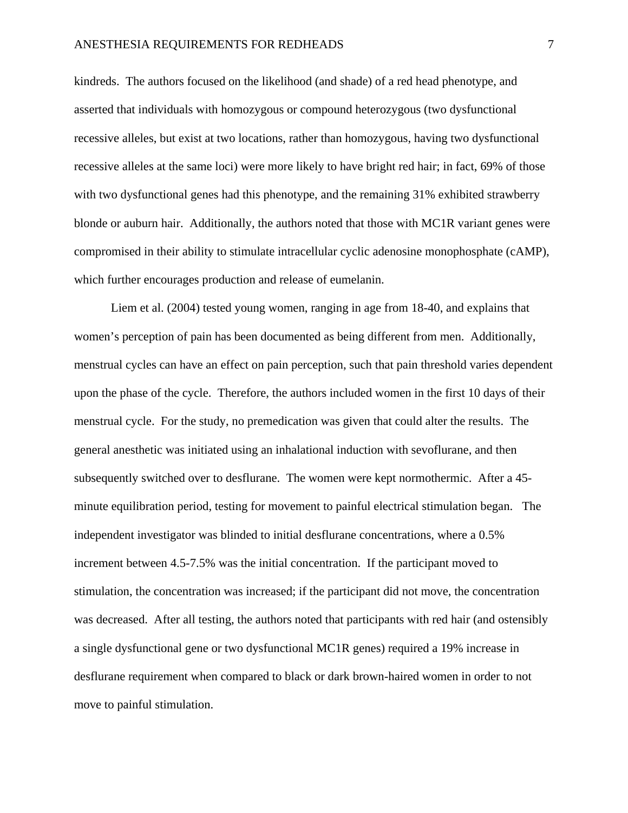## ANESTHESIA REQUIREMENTS FOR REDHEADS 7

kindreds. The authors focused on the likelihood (and shade) of a red head phenotype, and asserted that individuals with homozygous or compound heterozygous (two dysfunctional recessive alleles, but exist at two locations, rather than homozygous, having two dysfunctional recessive alleles at the same loci) were more likely to have bright red hair; in fact, 69% of those with two dysfunctional genes had this phenotype, and the remaining 31% exhibited strawberry blonde or auburn hair. Additionally, the authors noted that those with MC1R variant genes were compromised in their ability to stimulate intracellular cyclic adenosine monophosphate (cAMP), which further encourages production and release of eumelanin.

Liem et al. (2004) tested young women, ranging in age from 18-40, and explains that women's perception of pain has been documented as being different from men. Additionally, menstrual cycles can have an effect on pain perception, such that pain threshold varies dependent upon the phase of the cycle. Therefore, the authors included women in the first 10 days of their menstrual cycle. For the study, no premedication was given that could alter the results. The general anesthetic was initiated using an inhalational induction with sevoflurane, and then subsequently switched over to desflurane. The women were kept normothermic. After a 45 minute equilibration period, testing for movement to painful electrical stimulation began. The independent investigator was blinded to initial desflurane concentrations, where a 0.5% increment between 4.5-7.5% was the initial concentration. If the participant moved to stimulation, the concentration was increased; if the participant did not move, the concentration was decreased. After all testing, the authors noted that participants with red hair (and ostensibly a single dysfunctional gene or two dysfunctional MC1R genes) required a 19% increase in desflurane requirement when compared to black or dark brown-haired women in order to not move to painful stimulation.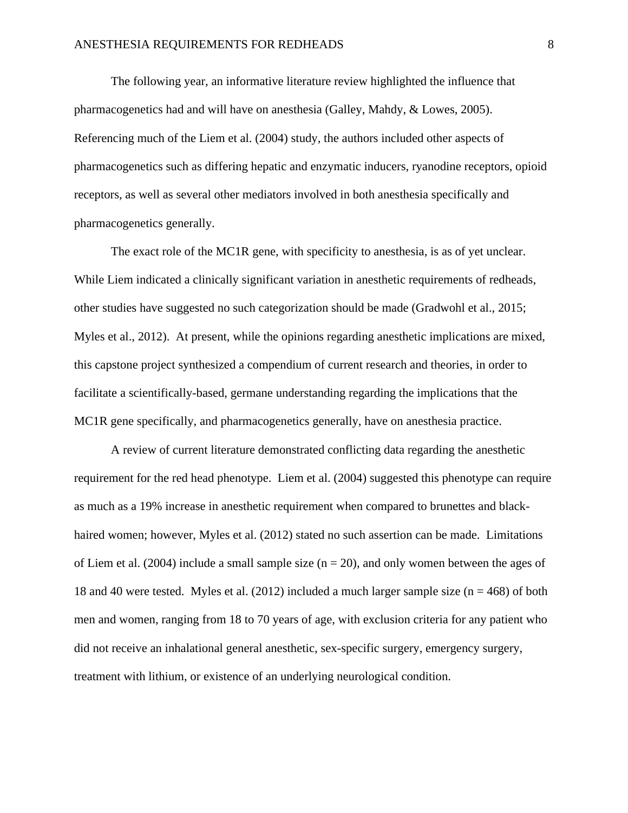The following year, an informative literature review highlighted the influence that pharmacogenetics had and will have on anesthesia (Galley, Mahdy, & Lowes, 2005). Referencing much of the Liem et al. (2004) study, the authors included other aspects of pharmacogenetics such as differing hepatic and enzymatic inducers, ryanodine receptors, opioid receptors, as well as several other mediators involved in both anesthesia specifically and pharmacogenetics generally.

The exact role of the MC1R gene, with specificity to anesthesia, is as of yet unclear. While Liem indicated a clinically significant variation in anesthetic requirements of redheads, other studies have suggested no such categorization should be made (Gradwohl et al., 2015; Myles et al., 2012). At present, while the opinions regarding anesthetic implications are mixed, this capstone project synthesized a compendium of current research and theories, in order to facilitate a scientifically-based, germane understanding regarding the implications that the MC1R gene specifically, and pharmacogenetics generally, have on anesthesia practice.

A review of current literature demonstrated conflicting data regarding the anesthetic requirement for the red head phenotype. Liem et al. (2004) suggested this phenotype can require as much as a 19% increase in anesthetic requirement when compared to brunettes and blackhaired women; however, Myles et al. (2012) stated no such assertion can be made. Limitations of Liem et al. (2004) include a small sample size  $(n = 20)$ , and only women between the ages of 18 and 40 were tested. Myles et al. (2012) included a much larger sample size ( $n = 468$ ) of both men and women, ranging from 18 to 70 years of age, with exclusion criteria for any patient who did not receive an inhalational general anesthetic, sex-specific surgery, emergency surgery, treatment with lithium, or existence of an underlying neurological condition.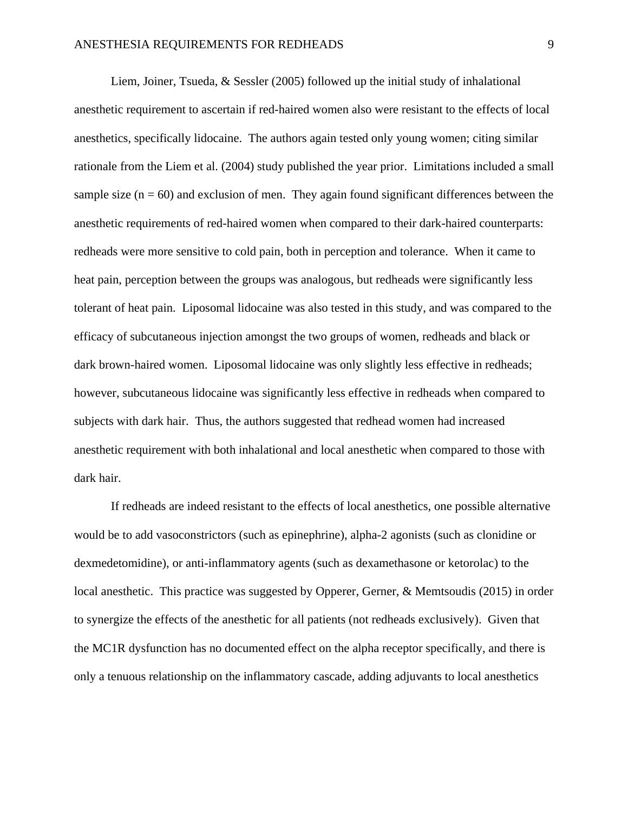Liem, Joiner, Tsueda, & Sessler (2005) followed up the initial study of inhalational anesthetic requirement to ascertain if red-haired women also were resistant to the effects of local anesthetics, specifically lidocaine. The authors again tested only young women; citing similar rationale from the Liem et al. (2004) study published the year prior. Limitations included a small sample size  $(n = 60)$  and exclusion of men. They again found significant differences between the anesthetic requirements of red-haired women when compared to their dark-haired counterparts: redheads were more sensitive to cold pain, both in perception and tolerance. When it came to heat pain, perception between the groups was analogous, but redheads were significantly less tolerant of heat pain. Liposomal lidocaine was also tested in this study, and was compared to the efficacy of subcutaneous injection amongst the two groups of women, redheads and black or dark brown-haired women. Liposomal lidocaine was only slightly less effective in redheads; however, subcutaneous lidocaine was significantly less effective in redheads when compared to subjects with dark hair. Thus, the authors suggested that redhead women had increased anesthetic requirement with both inhalational and local anesthetic when compared to those with dark hair.

If redheads are indeed resistant to the effects of local anesthetics, one possible alternative would be to add vasoconstrictors (such as epinephrine), alpha-2 agonists (such as clonidine or dexmedetomidine), or anti-inflammatory agents (such as dexamethasone or ketorolac) to the local anesthetic. This practice was suggested by Opperer, Gerner, & Memtsoudis (2015) in order to synergize the effects of the anesthetic for all patients (not redheads exclusively). Given that the MC1R dysfunction has no documented effect on the alpha receptor specifically, and there is only a tenuous relationship on the inflammatory cascade, adding adjuvants to local anesthetics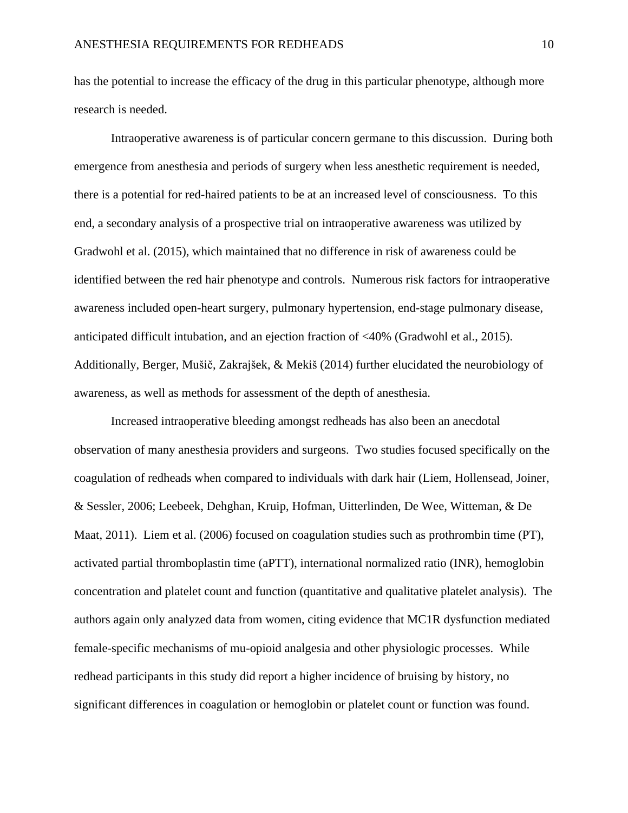has the potential to increase the efficacy of the drug in this particular phenotype, although more research is needed.

Intraoperative awareness is of particular concern germane to this discussion. During both emergence from anesthesia and periods of surgery when less anesthetic requirement is needed, there is a potential for red-haired patients to be at an increased level of consciousness. To this end, a secondary analysis of a prospective trial on intraoperative awareness was utilized by Gradwohl et al. (2015), which maintained that no difference in risk of awareness could be identified between the red hair phenotype and controls. Numerous risk factors for intraoperative awareness included open-heart surgery, pulmonary hypertension, end-stage pulmonary disease, anticipated difficult intubation, and an ejection fraction of <40% (Gradwohl et al., 2015). Additionally, Berger, Mušič, Zakrajšek, & Mekiš (2014) further elucidated the neurobiology of awareness, as well as methods for assessment of the depth of anesthesia.

Increased intraoperative bleeding amongst redheads has also been an anecdotal observation of many anesthesia providers and surgeons. Two studies focused specifically on the coagulation of redheads when compared to individuals with dark hair (Liem, Hollensead, Joiner, & Sessler, 2006; Leebeek, Dehghan, Kruip, Hofman, Uitterlinden, De Wee, Witteman, & De Maat, 2011). Liem et al. (2006) focused on coagulation studies such as prothrombin time (PT), activated partial thromboplastin time (aPTT), international normalized ratio (INR), hemoglobin concentration and platelet count and function (quantitative and qualitative platelet analysis). The authors again only analyzed data from women, citing evidence that MC1R dysfunction mediated female-specific mechanisms of mu-opioid analgesia and other physiologic processes. While redhead participants in this study did report a higher incidence of bruising by history, no significant differences in coagulation or hemoglobin or platelet count or function was found.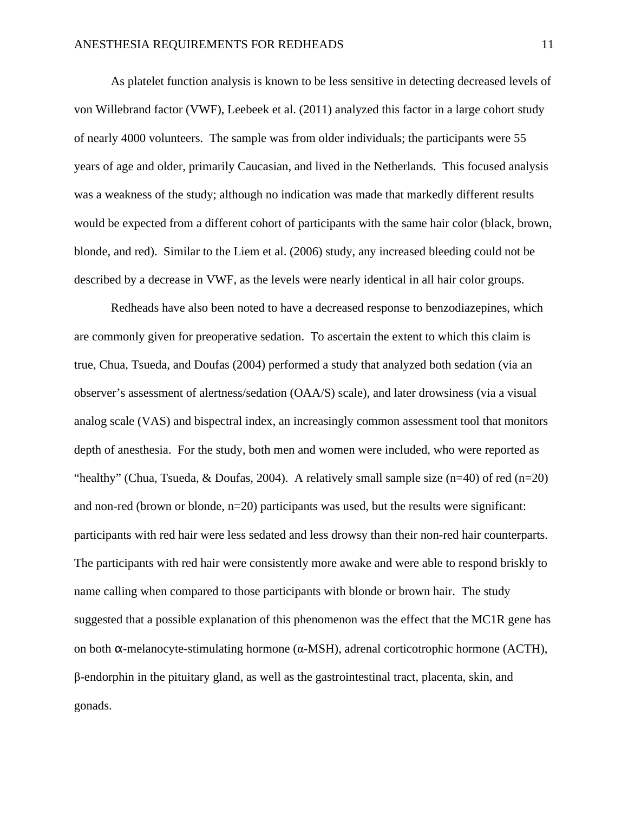As platelet function analysis is known to be less sensitive in detecting decreased levels of von Willebrand factor (VWF), Leebeek et al. (2011) analyzed this factor in a large cohort study of nearly 4000 volunteers. The sample was from older individuals; the participants were 55 years of age and older, primarily Caucasian, and lived in the Netherlands. This focused analysis was a weakness of the study; although no indication was made that markedly different results would be expected from a different cohort of participants with the same hair color (black, brown, blonde, and red). Similar to the Liem et al. (2006) study, any increased bleeding could not be described by a decrease in VWF, as the levels were nearly identical in all hair color groups.

Redheads have also been noted to have a decreased response to benzodiazepines, which are commonly given for preoperative sedation. To ascertain the extent to which this claim is true, Chua, Tsueda, and Doufas (2004) performed a study that analyzed both sedation (via an observer's assessment of alertness/sedation (OAA/S) scale), and later drowsiness (via a visual analog scale (VAS) and bispectral index, an increasingly common assessment tool that monitors depth of anesthesia. For the study, both men and women were included, who were reported as "healthy" (Chua, Tsueda, & Doufas, 2004). A relatively small sample size (n=40) of red (n=20) and non-red (brown or blonde, n=20) participants was used, but the results were significant: participants with red hair were less sedated and less drowsy than their non-red hair counterparts. The participants with red hair were consistently more awake and were able to respond briskly to name calling when compared to those participants with blonde or brown hair. The study suggested that a possible explanation of this phenomenon was the effect that the MC1R gene has on both α-melanocyte-stimulating hormone (α-MSH), adrenal corticotrophic hormone (ACTH), β-endorphin in the pituitary gland, as well as the gastrointestinal tract, placenta, skin, and gonads.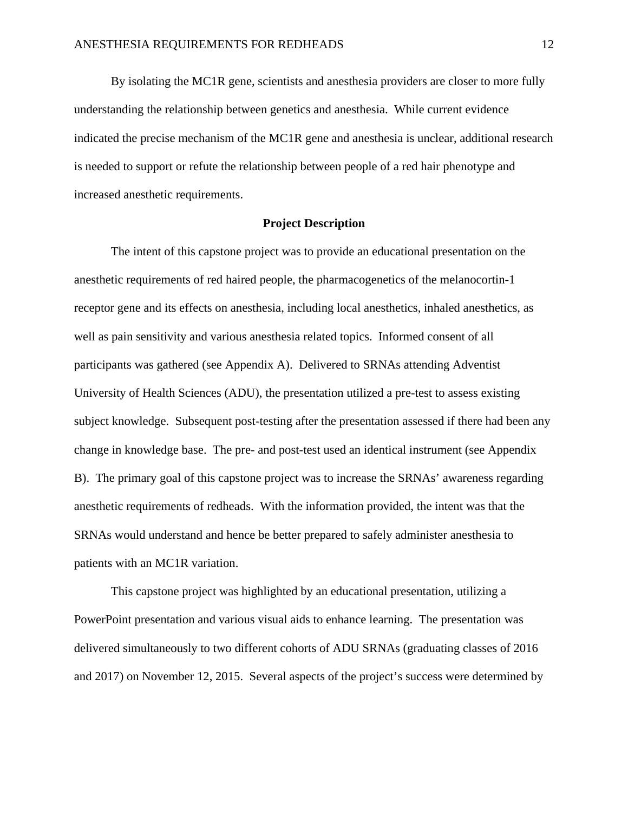By isolating the MC1R gene, scientists and anesthesia providers are closer to more fully understanding the relationship between genetics and anesthesia. While current evidence indicated the precise mechanism of the MC1R gene and anesthesia is unclear, additional research is needed to support or refute the relationship between people of a red hair phenotype and increased anesthetic requirements.

## **Project Description**

The intent of this capstone project was to provide an educational presentation on the anesthetic requirements of red haired people, the pharmacogenetics of the melanocortin-1 receptor gene and its effects on anesthesia, including local anesthetics, inhaled anesthetics, as well as pain sensitivity and various anesthesia related topics. Informed consent of all participants was gathered (see Appendix A). Delivered to SRNAs attending Adventist University of Health Sciences (ADU), the presentation utilized a pre-test to assess existing subject knowledge. Subsequent post-testing after the presentation assessed if there had been any change in knowledge base. The pre- and post-test used an identical instrument (see Appendix B). The primary goal of this capstone project was to increase the SRNAs' awareness regarding anesthetic requirements of redheads. With the information provided, the intent was that the SRNAs would understand and hence be better prepared to safely administer anesthesia to patients with an MC1R variation.

This capstone project was highlighted by an educational presentation, utilizing a PowerPoint presentation and various visual aids to enhance learning. The presentation was delivered simultaneously to two different cohorts of ADU SRNAs (graduating classes of 2016 and 2017) on November 12, 2015. Several aspects of the project's success were determined by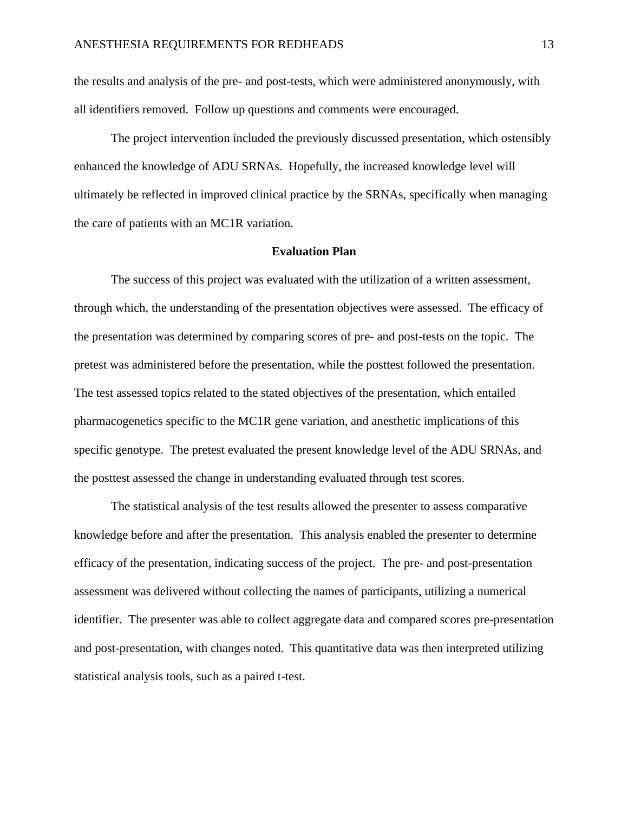the results and analysis of the pre- and post-tests, which were administered anonymously, with all identifiers removed. Follow up questions and comments were encouraged.

The project intervention included the previously discussed presentation, which ostensibly enhanced the knowledge of ADU SRNAs. Hopefully, the increased knowledge level will ultimately be reflected in improved clinical practice by the SRNAs, specifically when managing the care of patients with an MC1R variation.

#### **Evaluation Plan**

The success of this project was evaluated with the utilization of a written assessment, through which, the understanding of the presentation objectives were assessed. The efficacy of the presentation was determined by comparing scores of pre- and post-tests on the topic. The pretest was administered before the presentation, while the posttest followed the presentation. The test assessed topics related to the stated objectives of the presentation, which entailed pharmacogenetics specific to the MC1R gene variation, and anesthetic implications of this specific genotype. The pretest evaluated the present knowledge level of the ADU SRNAs, and the posttest assessed the change in understanding evaluated through test scores.

The statistical analysis of the test results allowed the presenter to assess comparative knowledge before and after the presentation. This analysis enabled the presenter to determine efficacy of the presentation, indicating success of the project. The pre- and post-presentation assessment was delivered without collecting the names of participants, utilizing a numerical identifier. The presenter was able to collect aggregate data and compared scores pre-presentation and post-presentation, with changes noted. This quantitative data was then interpreted utilizing statistical analysis tools, such as a paired t-test.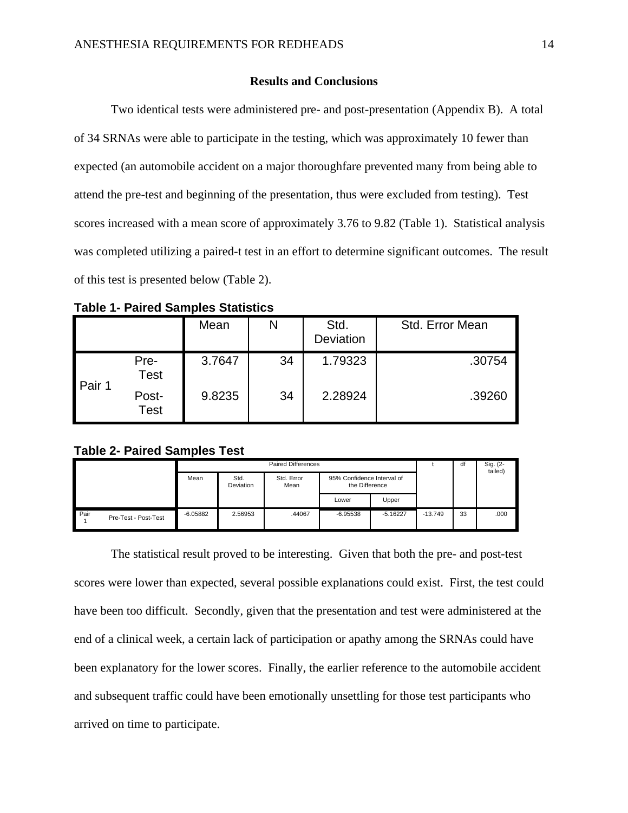## **Results and Conclusions**

Two identical tests were administered pre- and post-presentation (Appendix B). A total of 34 SRNAs were able to participate in the testing, which was approximately 10 fewer than expected (an automobile accident on a major thoroughfare prevented many from being able to attend the pre-test and beginning of the presentation, thus were excluded from testing). Test scores increased with a mean score of approximately 3.76 to 9.82 (Table 1). Statistical analysis was completed utilizing a paired-t test in an effort to determine significant outcomes. The result of this test is presented below (Table 2).

|        |                      | Mean   | N  | Std.<br>Deviation | Std. Error Mean |
|--------|----------------------|--------|----|-------------------|-----------------|
| Pair 1 | Pre-<br><b>Test</b>  | 3.7647 | 34 | 1.79323           | .30754          |
|        | Post-<br><b>Test</b> | 9.8235 | 34 | 2.28924           | .39260          |

**Table 1- Paired Samples Statistics**

## **Table 2- Paired Samples Test**

|             |                      | <b>Paired Differences</b> |                   |                    | df                                           |            | Sig. (2-<br>tailed) |    |      |
|-------------|----------------------|---------------------------|-------------------|--------------------|----------------------------------------------|------------|---------------------|----|------|
|             |                      | Mean                      | Std.<br>Deviation | Std. Error<br>Mean | 95% Confidence Interval of<br>the Difference |            |                     |    |      |
|             |                      |                           |                   |                    | Lower                                        | Upper      |                     |    |      |
| <b>Pair</b> | Pre-Test - Post-Test | $-6.05882$                | 2.56953           | .44067             | $-6.95538$                                   | $-5.16227$ | $-13.749$           | 33 | .000 |

The statistical result proved to be interesting. Given that both the pre- and post-test scores were lower than expected, several possible explanations could exist. First, the test could have been too difficult. Secondly, given that the presentation and test were administered at the end of a clinical week, a certain lack of participation or apathy among the SRNAs could have been explanatory for the lower scores. Finally, the earlier reference to the automobile accident and subsequent traffic could have been emotionally unsettling for those test participants who arrived on time to participate.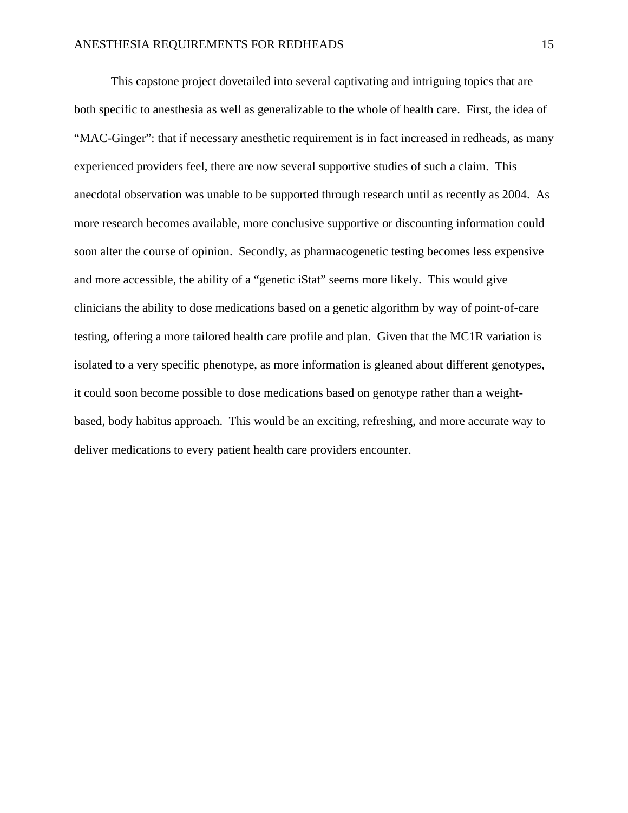This capstone project dovetailed into several captivating and intriguing topics that are both specific to anesthesia as well as generalizable to the whole of health care. First, the idea of "MAC-Ginger": that if necessary anesthetic requirement is in fact increased in redheads, as many experienced providers feel, there are now several supportive studies of such a claim. This anecdotal observation was unable to be supported through research until as recently as 2004. As more research becomes available, more conclusive supportive or discounting information could soon alter the course of opinion. Secondly, as pharmacogenetic testing becomes less expensive and more accessible, the ability of a "genetic iStat" seems more likely. This would give clinicians the ability to dose medications based on a genetic algorithm by way of point-of-care testing, offering a more tailored health care profile and plan. Given that the MC1R variation is isolated to a very specific phenotype, as more information is gleaned about different genotypes, it could soon become possible to dose medications based on genotype rather than a weightbased, body habitus approach. This would be an exciting, refreshing, and more accurate way to deliver medications to every patient health care providers encounter.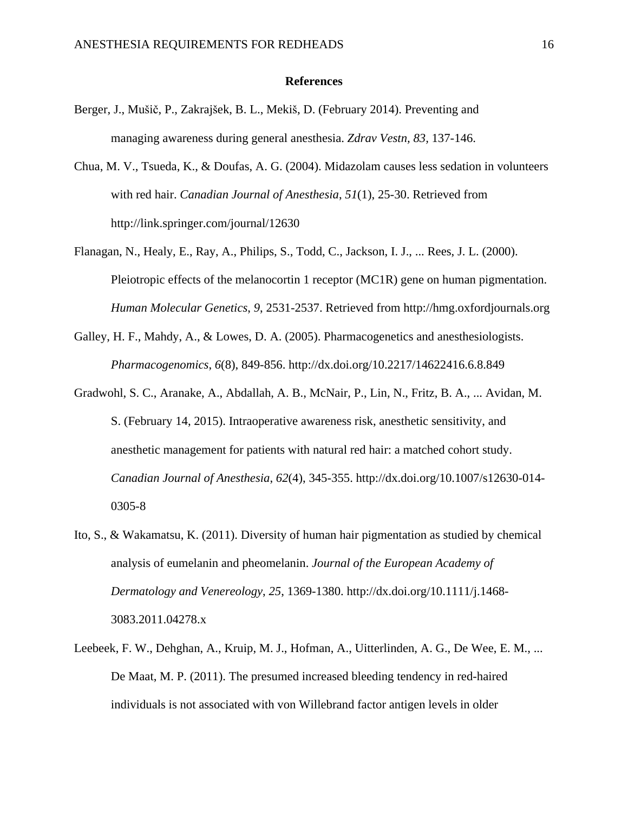### **References**

- Berger, J., Mušič, P., Zakrajšek, B. L., Mekiš, D. (February 2014). Preventing and managing awareness during general anesthesia. *Zdrav Vestn, 83,* 137-146.
- Chua, M. V., Tsueda, K., & Doufas, A. G. (2004). Midazolam causes less sedation in volunteers with red hair. *Canadian Journal of Anesthesia*, *51*(1), 25-30. Retrieved from http://link.springer.com/journal/12630
- Flanagan, N., Healy, E., Ray, A., Philips, S., Todd, C., Jackson, I. J., ... Rees, J. L. (2000). Pleiotropic effects of the melanocortin 1 receptor (MC1R) gene on human pigmentation. *Human Molecular Genetics*, *9*, 2531-2537. Retrieved from http://hmg.oxfordjournals.org
- Galley, H. F., Mahdy, A., & Lowes, D. A. (2005). Pharmacogenetics and anesthesiologists. *Pharmacogenomics*, *6*(8), 849-856. http://dx.doi.org/10.2217/14622416.6.8.849
- Gradwohl, S. C., Aranake, A., Abdallah, A. B., McNair, P., Lin, N., Fritz, B. A., ... Avidan, M. S. (February 14, 2015). Intraoperative awareness risk, anesthetic sensitivity, and anesthetic management for patients with natural red hair: a matched cohort study. *Canadian Journal of Anesthesia*, *62*(4), 345-355. http://dx.doi.org/10.1007/s12630-014- 0305-8
- Ito, S., & Wakamatsu, K. (2011). Diversity of human hair pigmentation as studied by chemical analysis of eumelanin and pheomelanin. *Journal of the European Academy of Dermatology and Venereology*, *25*, 1369-1380. http://dx.doi.org/10.1111/j.1468- 3083.2011.04278.x
- Leebeek, F. W., Dehghan, A., Kruip, M. J., Hofman, A., Uitterlinden, A. G., De Wee, E. M., ... De Maat, M. P. (2011). The presumed increased bleeding tendency in red-haired individuals is not associated with von Willebrand factor antigen levels in older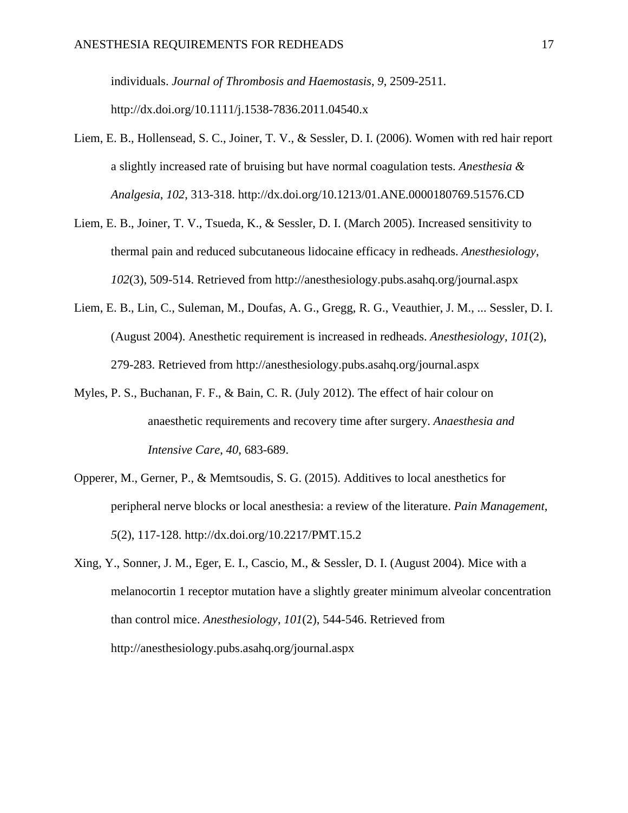individuals. *Journal of Thrombosis and Haemostasis*, *9*, 2509-2511. http://dx.doi.org/10.1111/j.1538-7836.2011.04540.x

- Liem, E. B., Hollensead, S. C., Joiner, T. V., & Sessler, D. I. (2006). Women with red hair report a slightly increased rate of bruising but have normal coagulation tests. *Anesthesia & Analgesia*, *102*, 313-318. http://dx.doi.org/10.1213/01.ANE.0000180769.51576.CD
- Liem, E. B., Joiner, T. V., Tsueda, K., & Sessler, D. I. (March 2005). Increased sensitivity to thermal pain and reduced subcutaneous lidocaine efficacy in redheads. *Anesthesiology*, *102*(3), 509-514. Retrieved from http://anesthesiology.pubs.asahq.org/journal.aspx
- Liem, E. B., Lin, C., Suleman, M., Doufas, A. G., Gregg, R. G., Veauthier, J. M., ... Sessler, D. I. (August 2004). Anesthetic requirement is increased in redheads. *Anesthesiology*, *101*(2), 279-283. Retrieved from http://anesthesiology.pubs.asahq.org/journal.aspx
- Myles, P. S., Buchanan, F. F., & Bain, C. R. (July 2012). The effect of hair colour on anaesthetic requirements and recovery time after surgery. *Anaesthesia and Intensive Care*, *40*, 683-689.
- Opperer, M., Gerner, P., & Memtsoudis, S. G. (2015). Additives to local anesthetics for peripheral nerve blocks or local anesthesia: a review of the literature. *Pain Management*, *5*(2), 117-128. http://dx.doi.org/10.2217/PMT.15.2
- Xing, Y., Sonner, J. M., Eger, E. I., Cascio, M., & Sessler, D. I. (August 2004). Mice with a melanocortin 1 receptor mutation have a slightly greater minimum alveolar concentration than control mice. *Anesthesiology*, *101*(2), 544-546. Retrieved from http://anesthesiology.pubs.asahq.org/journal.aspx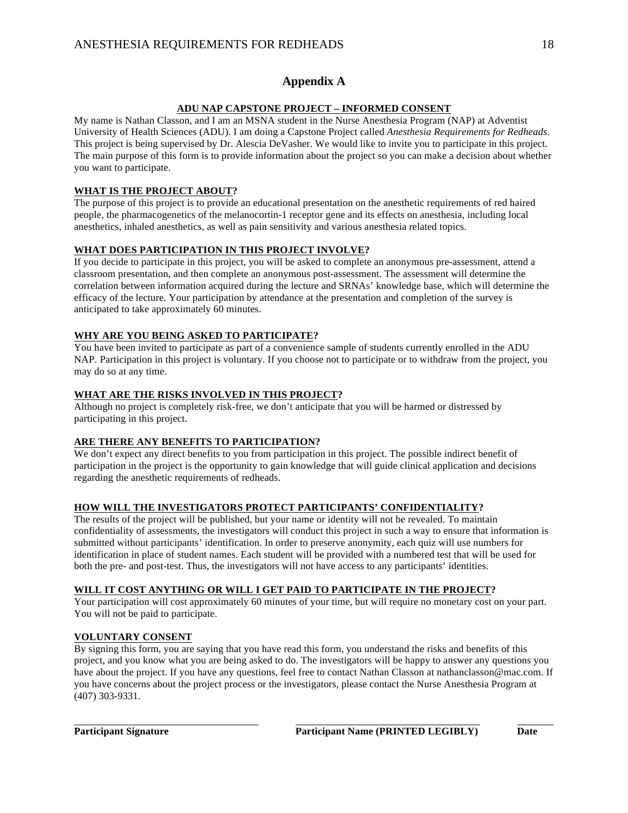## **Appendix A**

#### **ADU NAP CAPSTONE PROJECT – INFORMED CONSENT**

My name is Nathan Classon, and I am an MSNA student in the Nurse Anesthesia Program (NAP) at Adventist University of Health Sciences (ADU). I am doing a Capstone Project called *Anesthesia Requirements for Redheads*. This project is being supervised by Dr. Alescia DeVasher. We would like to invite you to participate in this project. The main purpose of this form is to provide information about the project so you can make a decision about whether you want to participate.

## **WHAT IS THE PROJECT ABOUT?**

The purpose of this project is to provide an educational presentation on the anesthetic requirements of red haired people, the pharmacogenetics of the melanocortin-1 receptor gene and its effects on anesthesia, including local anesthetics, inhaled anesthetics, as well as pain sensitivity and various anesthesia related topics.

## **WHAT DOES PARTICIPATION IN THIS PROJECT INVOLVE?**

If you decide to participate in this project, you will be asked to complete an anonymous pre-assessment, attend a classroom presentation, and then complete an anonymous post-assessment. The assessment will determine the correlation between information acquired during the lecture and SRNAs' knowledge base, which will determine the efficacy of the lecture. Your participation by attendance at the presentation and completion of the survey is anticipated to take approximately 60 minutes.

## **WHY ARE YOU BEING ASKED TO PARTICIPATE?**

You have been invited to participate as part of a convenience sample of students currently enrolled in the ADU NAP. Participation in this project is voluntary. If you choose not to participate or to withdraw from the project, you may do so at any time.

## **WHAT ARE THE RISKS INVOLVED IN THIS PROJECT?**

Although no project is completely risk-free, we don't anticipate that you will be harmed or distressed by participating in this project.

#### **ARE THERE ANY BENEFITS TO PARTICIPATION?**

We don't expect any direct benefits to you from participation in this project. The possible indirect benefit of participation in the project is the opportunity to gain knowledge that will guide clinical application and decisions regarding the anesthetic requirements of redheads.

#### **HOW WILL THE INVESTIGATORS PROTECT PARTICIPANTS' CONFIDENTIALITY?**

The results of the project will be published, but your name or identity will not be revealed. To maintain confidentiality of assessments, the investigators will conduct this project in such a way to ensure that information is submitted without participants' identification. In order to preserve anonymity, each quiz will use numbers for identification in place of student names. Each student will be provided with a numbered test that will be used for both the pre- and post-test. Thus, the investigators will not have access to any participants' identities.

#### **WILL IT COST ANYTHING OR WILL I GET PAID TO PARTICIPATE IN THE PROJECT?**

Your participation will cost approximately 60 minutes of your time, but will require no monetary cost on your part. You will not be paid to participate.

#### **VOLUNTARY CONSENT**

By signing this form, you are saying that you have read this form, you understand the risks and benefits of this project, and you know what you are being asked to do. The investigators will be happy to answer any questions you have about the project. If you have any questions, feel free to contact Nathan Classon at nathanclasson@mac.com. If you have concerns about the project process or the investigators, please contact the Nurse Anesthesia Program at (407) 303-9331.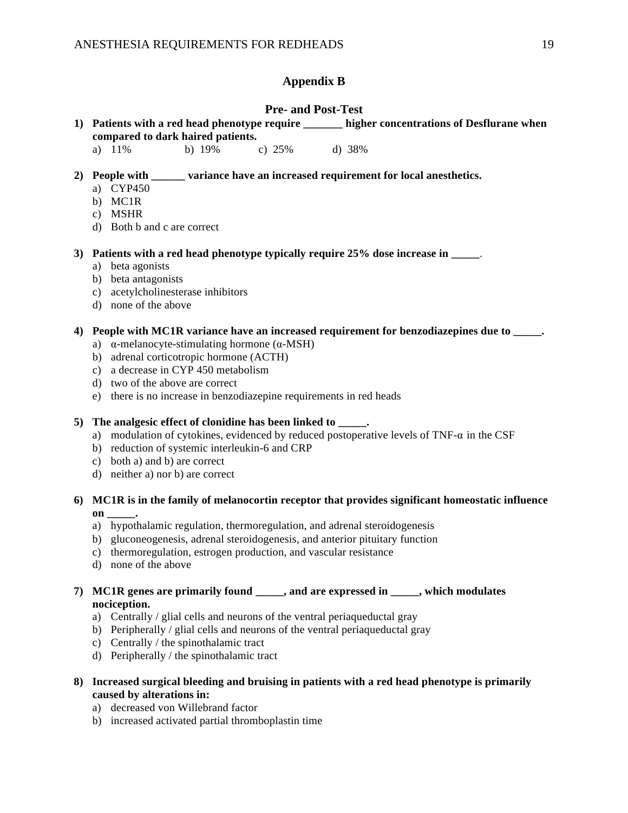## **Appendix B**

## **Pre- and Post-Test**

- **1) Patients with a red head phenotype require \_\_\_\_\_\_\_ higher concentrations of Desflurane when compared to dark haired patients.**
	- a) 11% b) 19% c) 25% d) 38%

## **2) People with \_\_\_\_\_\_ variance have an increased requirement for local anesthetics.**

- a) CYP450
- b) MC1R
- c) MSHR
- d) Both b and c are correct

**3) Patients with a red head phenotype typically require 25% dose increase in \_\_\_\_\_**.

- a) beta agonists
- b) beta antagonists
- c) acetylcholinesterase inhibitors
- d) none of the above

## **4) People with MC1R variance have an increased requirement for benzodiazepines due to \_\_\_\_\_.**

- a) α-melanocyte-stimulating hormone (α-MSH)
- b) adrenal corticotropic hormone (ACTH)
- c) a decrease in CYP 450 metabolism
- d) two of the above are correct
- e) there is no increase in benzodiazepine requirements in red heads

#### **5) The analgesic effect of clonidine has been linked to \_\_\_\_\_.**

- a) modulation of cytokines, evidenced by reduced postoperative levels of TNF-α in the CSF
- b) reduction of systemic interleukin-6 and CRP
- c) both a) and b) are correct
- d) neither a) nor b) are correct

## **6) MC1R is in the family of melanocortin receptor that provides significant homeostatic influence on \_\_\_\_\_.**

- a) hypothalamic regulation, thermoregulation, and adrenal steroidogenesis
- b) gluconeogenesis, adrenal steroidogenesis, and anterior pituitary function
- c) thermoregulation, estrogen production, and vascular resistance
- d) none of the above

## **7) MC1R genes are primarily found \_\_\_\_\_, and are expressed in \_\_\_\_\_, which modulates nociception.**

- a) Centrally / glial cells and neurons of the ventral periaqueductal gray
- b) Peripherally / glial cells and neurons of the ventral periaqueductal gray
- c) Centrally / the spinothalamic tract
- d) Peripherally / the spinothalamic tract
- **8) Increased surgical bleeding and bruising in patients with a red head phenotype is primarily caused by alterations in:**
	- a) decreased von Willebrand factor
	- b) increased activated partial thromboplastin time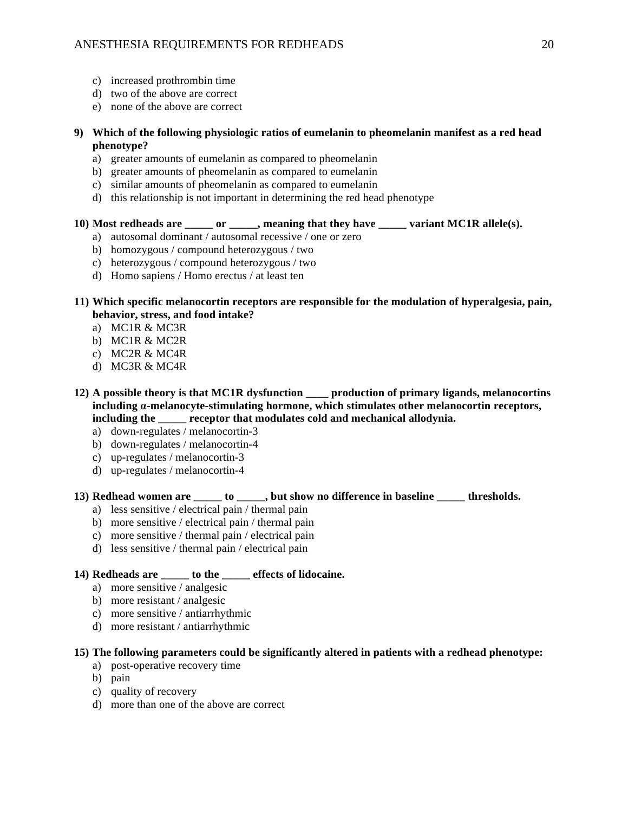- c) increased prothrombin time
- d) two of the above are correct
- e) none of the above are correct
- **9) Which of the following physiologic ratios of eumelanin to pheomelanin manifest as a red head phenotype?**
	- a) greater amounts of eumelanin as compared to pheomelanin
	- b) greater amounts of pheomelanin as compared to eumelanin
	- c) similar amounts of pheomelanin as compared to eumelanin
	- d) this relationship is not important in determining the red head phenotype

## **10) Most redheads are \_\_\_\_\_ or \_\_\_\_\_, meaning that they have \_\_\_\_\_ variant MC1R allele(s).**

- a) autosomal dominant / autosomal recessive / one or zero
- b) homozygous / compound heterozygous / two
- c) heterozygous / compound heterozygous / two
- d) Homo sapiens / Homo erectus / at least ten

## **11) Which specific melanocortin receptors are responsible for the modulation of hyperalgesia, pain, behavior, stress, and food intake?**

- a) MC1R & MC3R
- b) MC1R & MC2R
- c) MC2R & MC4R
- d) MC3R & MC4R
- **12) A possible theory is that MC1R dysfunction \_\_\_\_ production of primary ligands, melanocortins including α-melanocyte-stimulating hormone, which stimulates other melanocortin receptors, including the \_\_\_\_\_ receptor that modulates cold and mechanical allodynia.**
	- a) down-regulates / melanocortin-3
	- b) down-regulates / melanocortin-4
	- c) up-regulates / melanocortin-3
	- d) up-regulates / melanocortin-4

## **13) Redhead women are \_\_\_\_\_ to \_\_\_\_\_, but show no difference in baseline \_\_\_\_\_ thresholds.**

- a) less sensitive / electrical pain / thermal pain
- b) more sensitive / electrical pain / thermal pain
- c) more sensitive / thermal pain / electrical pain
- d) less sensitive / thermal pain / electrical pain

## **14) Redheads are \_\_\_\_\_ to the \_\_\_\_\_ effects of lidocaine.**

- a) more sensitive / analgesic
- b) more resistant / analgesic
- c) more sensitive / antiarrhythmic
- d) more resistant / antiarrhythmic

## **15) The following parameters could be significantly altered in patients with a redhead phenotype:**

- a) post-operative recovery time
- b) pain
- c) quality of recovery
- d) more than one of the above are correct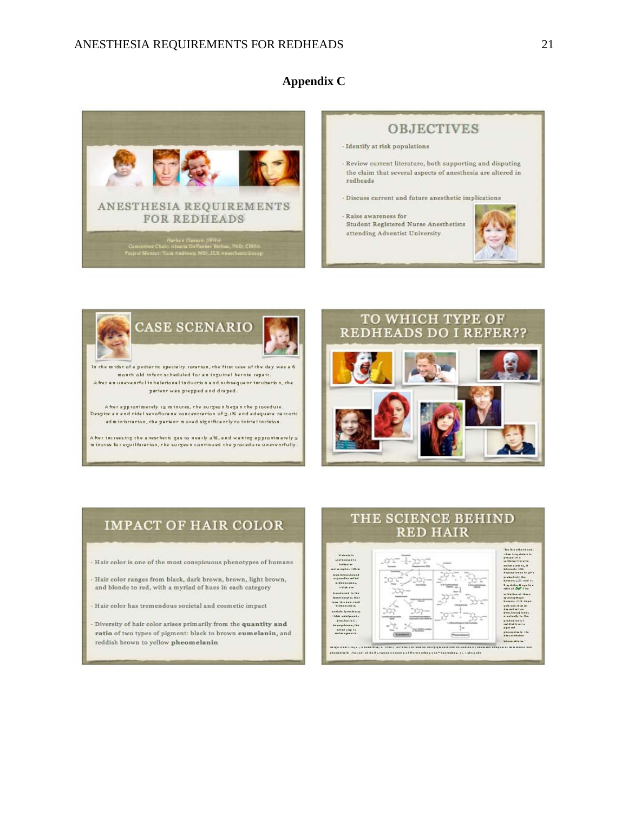## **Appendix C**



## **OBJECTIVES**  $\cdot$  Identify at risk populations · Review current literature, both supporting and disputing the claim that several aspects of anesthesia are altered in redheads · Discuss current and future anesthetic implications  $\cdot$  Raise awareness for Student Registered Nurse Anesthetists attending Adventist University



A feer increasing the anesthetic gas to nearly  $a\%$  , and waiting approximately  $g$  minutes for equilibration, the surgeon continued the procedure uneventfully.



## **IMPACT OF HAIR COLOR**

+ Hair color is one of the most conspicuous phenotypes of humans

Hair color ranges from black, dark brown, brown, light brown, and blonde to red, with a myriad of hues in each category

Hair color has tremendous societal and cosmetic impact

Diversity of hair color arises primarily from the quantity and ratio of two types of pigment: black to brown eumelanin, and reddish brown to yellow pheomelanin

## THE SCIENCE BEHIND **RED HAIR**

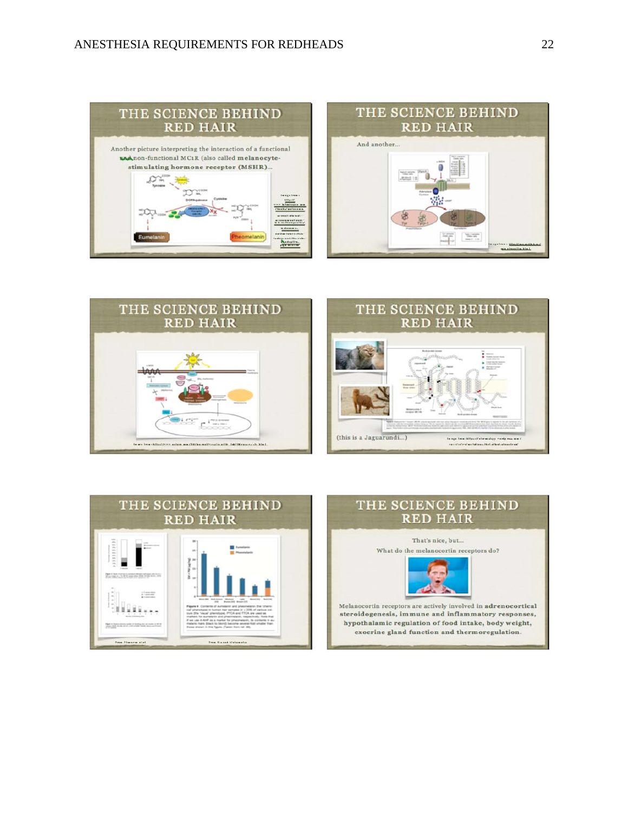







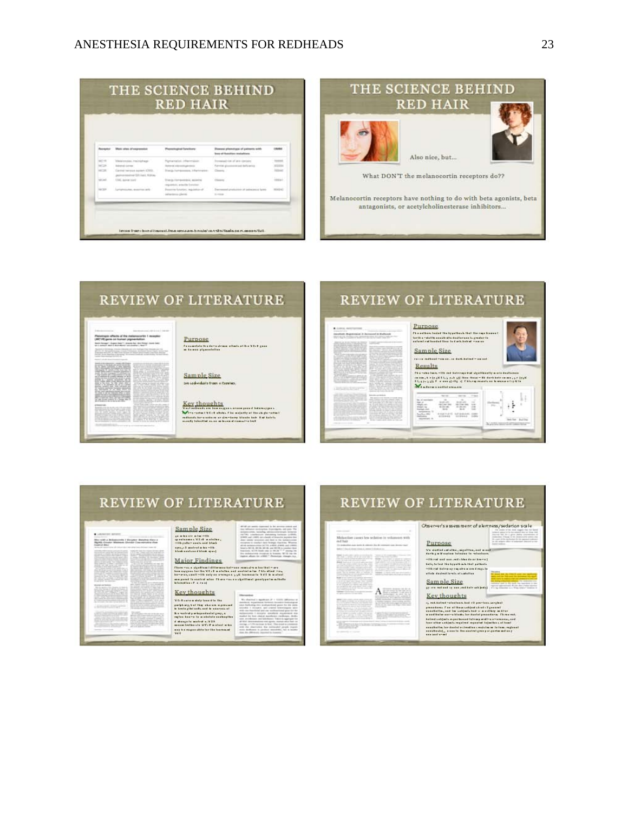## ANESTHESIA REQUIREMENTS FOR REDHEADS 23

| Percenter     | Mate stay of expression                                              | Physiological Setellizes                                                                          | However phenotypes of painwith with<br>bles of furnition installing | mana                             |
|---------------|----------------------------------------------------------------------|---------------------------------------------------------------------------------------------------|---------------------------------------------------------------------|----------------------------------|
| <b>MIT 10</b> | Meanwoods, maintainers."                                             | Partiactation officers poor.                                                                      | Forestad (or of pick carbers)                                       | <b>Homes</b>                     |
| <b>MT38</b>   | <b>Weight come</b>                                                   | <b>Rend deedupose</b>                                                                             | Farvice plusmasticald deficiency                                    | MODSK                            |
| ARTIST        | Cannot harvests assign a billion<br>payments and \$25 kg to \$10 per | Starts foregoings, information                                                                    | Cheese /                                                            | tetnic                           |
| MCAF          | CML larest tool                                                      | ALTERA STATES PRODUCED<br><b>Stario Hermeensus, assetted</b><br>majoratorio, artistilla Sotorino- | Charles Construction<br><b>Cheese</b>                               | $7 - 8 + 7 = 1, 1, 1$<br>testal. |
| <b>SACRA</b>  | <b>CONTRACTOR</b><br>Luxiaminaker, destring labb-                    | Personal American importation of<br>information plants                                            | Decreased production of policies at System<br>to excess             | 120401101<br><b>MONTEST</b>      |



## **REVIEW OF LITERATURE**

Purpose

 $\tilde{T}$  is a converted to the set of  $\sigma$  -set of events without at the  $\sigma$  M  $\tilde{T}$  is  $\tilde{T}$  as an increasing physical basis.

## servatic offerits of the maternaturity 1 monotor<br>1970 generate former pigmentation<br>was a service construction of the form the construction of the products and the con-

Sample Size ara radividada from u familiar.

 $\begin{tabular}{l|c|c|c|c|c|c|c|c} \hline Key~thouehts \\ \hline \end{tabular} \vspace{-.5cm} \begin{tabular}{l|c|c|c|c|c|c} \hline Key~thouehts \\ \hline \end{tabular} \vspace{-.5cm} \begin{tabular}{l|c|c|c|c|c} \hline Key~thouehts \\ \hline \end{tabular} \vspace{-.5cm} \begin{tabular}{l|c|c|c|c|c} \hline Key~thouehts \\ \hline \end{tabular} \vspace{-.5cm} \begin{tabular}{l|c|c|c|c} \hline \end{tabular} \vspace$ 

## **REVIEW OF LITERATURE**



## **REVIEW OF LITERATURE**

Sample Size  $\begin{minipage}{0.9\textwidth} \begin{tabular}{|c|c|} \hline $q$ & where $n$ is $-1\mathrm{B}$ \\ $q$ & otherwise $1\mathrm{B}$ & $n$ is $1\mathrm{B}$ \\ $-1\mathrm{B}$ & $p$ is $1\mathrm{B}$ & $n$ is $1\mathrm{B}$ \\ $n$ & $n$ is $1\mathrm{B}$ & $n$ is $1\mathrm{B}$ \\ $n$ & $n$ is $1\mathrm{B}$ & $n$ is $1\mathrm{B}$ \\ $n$ & $n$ is $1\mathrm{B}$ & $n$ is $1\mathrm{B}$ \\ $n$ & $n$ is $1\mathrm{B}$ & $n$ is $1\mathrm{B}$ \\ $n$$ 

Major Findings

**Market Administration Control Progress** 

#### Key thoughts

 $\begin{array}{l} \textbf{M} = \textbf{M} + \textbf{M} + \textbf{M} + \textbf{M} + \textbf{M} + \textbf{M} + \textbf{M} + \textbf{M} + \textbf{M} + \textbf{M} + \textbf{M} + \textbf{M} + \textbf{M} + \textbf{M} + \textbf{M} + \textbf{M} + \textbf{M} + \textbf{M} + \textbf{M} + \textbf{M} + \textbf{M} + \textbf{M} + \textbf{M} + \textbf{M} + \textbf{M} + \textbf{M} + \textbf{M} + \textbf{M} + \textbf{M} + \textbf$ 

| Charamas a significant dillor mon halmans remedire a fax that more<br>how success for the WC+R motation and anotral mine. Chis stood may<br>because small citie and no process with formula in MAC in match!<br>ma pered to eastest also. There - as a a significant genetyper in activate.<br>blamsting of a roof |                                                                                                                                                                                |
|--------------------------------------------------------------------------------------------------------------------------------------------------------------------------------------------------------------------------------------------------------------------------------------------------------------------|--------------------------------------------------------------------------------------------------------------------------------------------------------------------------------|
| Key thoughts                                                                                                                                                                                                                                                                                                       |                                                                                                                                                                                |
| <b>W.C. Board a dely loss fits The</b>                                                                                                                                                                                                                                                                             | and in Anti-Links                                                                                                                                                              |
| period my, but they who are expressed<br>le brate gliet auße und in announcel                                                                                                                                                                                                                                      | ics Authoring rate availabilitied grate for the center<br>andra 1 december and control to<br>with me interdicted and cap medicantrized area for far                            |
| h a mair d a mhasadasial gray, a<br>nglas kee-a la a séclete cochaptice                                                                                                                                                                                                                                            | allocation 2 designs, speakers, experience also<br>teached for four closing payments conductors, develop-<br>and produces and labeled 1 labels is appropriate                  |
| A shower in mained a. X 030<br>moom inclusion of SC . For close who                                                                                                                                                                                                                                                | \$500 - Andersonalistick and statistic internal world flash and<br>inertage, a U.Ph partners in Road, This senate to columnate<br>and the intervalue for minimidi recent teams |
| may his responsible for the fourmand<br>MAC                                                                                                                                                                                                                                                                        | take dealbases to produce anomatics, but a month<br>lian, the Abbrile and Associated by Common                                                                                 |

 $\begin{tabular}{|c|c|c|c|c|c|c|c|} \hline $0.01$ & $0.000$ & $0.0000$ & $0.0000$ & $0.0000$ \\ \hline $0.000$ & $0.0000$ & $0.0000$ & $0.0000$ & $0.0000$ \\ \hline $0.000$ & $0.0000$ & $0.0000$ & $0.0000$ & $0.0000$ & $0.0000$ \\ \hline $0.0000$ & $0.0000$ & $0.0000$ & $0.0000$ & $0.0000$ &$ 

 $\frac{1}{2}$ 

The contact first<br>A <sup>17</sup> december<br>A <sup>17</sup> december

## **REVIEW OF LITERATURE**

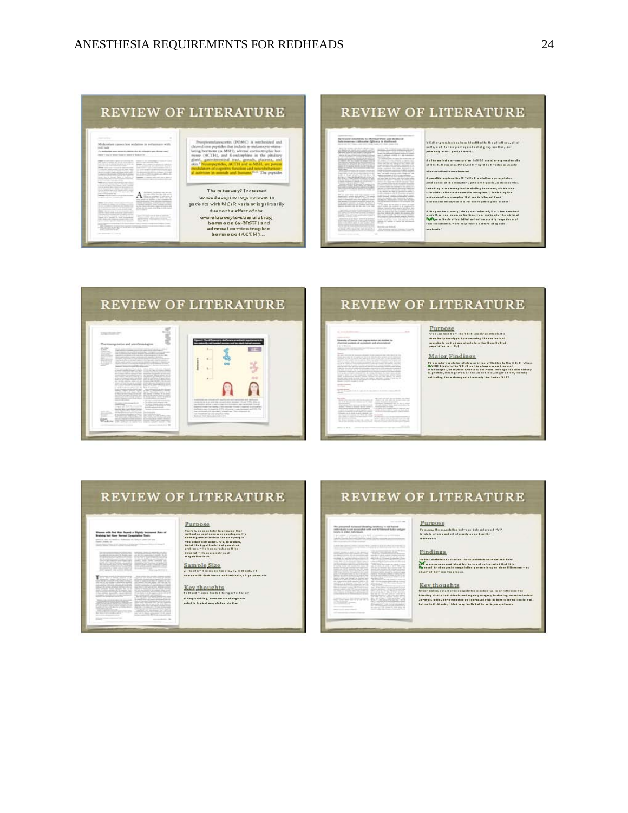| Prosportedayscortist (POMC) is symbosized and<br>cleared irrespectibles that include re-melanocyte-stimu-                                                                                                                                        |
|--------------------------------------------------------------------------------------------------------------------------------------------------------------------------------------------------------------------------------------------------|
| lating hormone (n-MSH), adrend corticotruphic hor-<br>mone (ACTH), and 8-endorphine in the pinitary                                                                                                                                              |
| glast, gastroimestisal tract, genuds, placenta, and<br>skin. <sup>9</sup> Neuropeptides, ACTH and a MSH, are potent<br>redulators of ungritive function and neurobehaviour<br>al activities in animals and humans, <sup>10,11</sup> The peptides |
| The takeaway? Thereased                                                                                                                                                                                                                          |
| be need is zepine require ment in<br>pacients with MCIR variant is primarily.                                                                                                                                                                    |
| due cache effect af the<br>a-melapocyte-stimulating                                                                                                                                                                                              |
| hormous (a-MSH) and<br>adrepal corticotrophic                                                                                                                                                                                                    |
|                                                                                                                                                                                                                                                  |

## **REVIEW OF LITERATURE**

#### between location to Decoral Pate and Roberta<br>has a subsequent of the option of the backwall

| ---<br>the second device of the American contractor                                             |                                                     |
|-------------------------------------------------------------------------------------------------|-----------------------------------------------------|
| the advertising a continue of concentrations.                                                   |                                                     |
| and the first control of the property                                                           | a construction of the con-                          |
| of the control between the first of the                                                         |                                                     |
| the product and the product of the product of the product                                       |                                                     |
| Source: 10 Million 1984   August 177   Therman                                                  |                                                     |
| A company and the company's and provide the state<br>because and the after MCA dealership and a |                                                     |
| the first in discussion in course, and has                                                      | <b>SAN ART AND ART</b>                              |
| part of the control with an expert to the state and a                                           |                                                     |
|                                                                                                 |                                                     |
| terms of experience that construction refers that                                               |                                                     |
| the property of the property of the con-                                                        |                                                     |
| The part of the president and<br><b>CONTRACTOR</b>                                              |                                                     |
| and the position and states at the formation control with a                                     |                                                     |
| Standard Mark and the Antonio Harmond Art                                                       |                                                     |
| books of the art around the distance. The                                                       |                                                     |
| Even of colored and the means of Editors of                                                     |                                                     |
| the company's colors and the age of the first time of the                                       |                                                     |
| the first street country of the country of the country of the                                   |                                                     |
| and the direct to provide the property of the                                                   |                                                     |
| A state the state and company of the state of the state of the state of the                     |                                                     |
| Anticornelli Margaret March 1 (1986)                                                            |                                                     |
| comment with the trust shoulders for the                                                        |                                                     |
| an experience that there we determine                                                           |                                                     |
| the property of the first state of the property of the property of                              |                                                     |
| a considerable and construction of the state of the Constant Con-                               |                                                     |
| the party than the property of the party and collective and                                     |                                                     |
|                                                                                                 |                                                     |
|                                                                                                 |                                                     |
|                                                                                                 | -                                                   |
| provided results and collection this passed                                                     | ---                                                 |
|                                                                                                 |                                                     |
|                                                                                                 |                                                     |
| and the act is thereon at the                                                                   | <b>CALL AND IN</b>                                  |
| <b>Add at the Conference</b>                                                                    | the facts are constructions of the co-<br>---       |
| arrangement and the                                                                             |                                                     |
| a control chemical in annual an-<br>---                                                         |                                                     |
|                                                                                                 |                                                     |
| ___<br>all Coates Warners                                                                       | A case of home that your seconds to be dealer than  |
|                                                                                                 | and contact can construct<br><b>State Committee</b> |
|                                                                                                 | Month country resides and in this other             |
| and a commentation of the collection of the col-                                                |                                                     |
|                                                                                                 |                                                     |
| the first term and the control of the<br>the course of the party than the second collection of  | -------------                                       |
| the state characters, but the state of the state of the state of the                            | the control of the control of the control of        |
|                                                                                                 |                                                     |
|                                                                                                 |                                                     |
|                                                                                                 |                                                     |
| and a series of a control state and a                                                           |                                                     |
| and the property of the contract of the                                                         | Last Art craw and the of                            |
| The company's spatial distance that the co-                                                     | and all the fields of their con-                    |
| a series of the control of the control of                                                       |                                                     |
| __________                                                                                      |                                                     |
|                                                                                                 |                                                     |
|                                                                                                 |                                                     |
|                                                                                                 |                                                     |
| <b>CONTRACTOR</b>                                                                               |                                                     |

# $\mathcal M$  Call as provides a such as the<br>self-field of the plantiture  $\chi_1$  gives<br>from the  $\chi$  and to the participant and algebra we then<br>  $\chi$  and point only restrict party is anothy.

#### $\label{eq:2.1} \begin{split} \hat{\mathbf{x}} &\approx \hat{\mathbf{B}}\hat{\mathbf{x}} \text{ and } \hat{\mathbf{c}}\hat{\mathbf{w}} \text{ is a product space.} \text{ for all } \hat{\mathbf{b}}\hat{\mathbf{r}} \text{ is a sequence, } \hat{\mathbf{c}}\hat{\mathbf{w}} \text{ is a function of } \hat{\mathbf{c}} \text{.} \end{split}$ ster exakelle mesimu mi

 $\label{eq:2} \begin{minipage}{0.9\textwidth} \begin{tabular}{l} \bf 3.1\,hr\ {\it per} -hr\ {\it or}\ {\it ten} \ {\it or}\ {\it ten} \ {\it or}\ {\it ten} \ {\it or}\ {\it ten} \ {\it or}\ {\it ten} \ {\it or}\ {\it not} \ {\it not} \ {\it or}\ {\it not} \ {\it not} \ {\it or}\ {\it not} \ {\it not} \ {\it or}\ {\it not} \ {\it not} \ {\it not} \ {\it or}\ {\it not} \ {\it not} \ {\it or}\ {\it not} \ {\it or}\ {\it not} \ {\it or}\ {\it not} \ {\it or}\ {\it not} \ {\it or}\ {\it not} \ {\it or}\ {\it not} \$ 



## REVIEW OF LITERATURE

**Ellentate of human had paymentation as studied by**<br>Plannical actions of assistance and phase-rations

Major Findings

 $\begin{minipage}{0.9\textwidth} \begin{tabular}{|l|p{0.8\textwidth}|} \hline $P$ is a single explicit value of the number of nodes in the 3.5\% of the 3.5\% of the 3.5\% of the 3.5\% of the 3.5\% of the 3.5\% of the 3.5\% of the 3.5\% of the 3.5\% of the 3.5\% of the 3.5\% of the 3.5\% of the 3.5\% of the 3.5\% of the 3.5\% of the 3.5\% of the 3.5\% of the 3.5\% of the 3.5\% of the 3.5\% of the 3.5\% of the$ 

## **REVIEW OF LITERATURE**

Women with Red Hair Report a Shiptity increased Rats of<br>Brateing left Name Nermal Congelation Trade

**THE REPORT OF** 

2023 entere i Sample Size<br>20 Septy: Lands bestays administration<br>20 De 10 De 102 September 20 De 102 Sep

Key thoughts<br>tailor tails in the contract of the state of the state of the state of the state<br>atom to train any distance of the state.

Purpose<br>
Material Contractor (1995)<br>
Contractor (1995)<br>
Contractor (1995)<br>
High Contractor (1995)<br>
Contractor (1995)<br>
Contractor (1995)<br>
Contractor (1995)<br>
Contractor (1995)<br>
Contractor (1995)<br>
Contractor (1995)<br>
Contracto

## **REVIEW OF LITERATURE**

The generated increased identical technics, to not hannel collection<br>of a reflection is not accorded with our Williams in factor or<br>signaturely at letter sufficience.

| a constitution and the first product in the second constitution of the con-<br>produce state of the side or service. In this con-                                                            |  |
|----------------------------------------------------------------------------------------------------------------------------------------------------------------------------------------------|--|
| the state of the state of<br>and the control control of the control of the control of the control of the control of the control of the con-                                                  |  |
| and and the property of the property of the control of the control of the control of the con-<br>The property of the control of the con-                                                     |  |
| structured experience are considered and considered and considered and considered and considered and                                                                                         |  |
| the control of the control of the control of the control of the control of the control of the control of the control of the control of the control of the control of the control of the con- |  |
| to them in the first three companies and is a series of the power contractor<br>the states in the property control and the control of the control of the control of                          |  |
| ___________                                                                                                                                                                                  |  |

|         |                                                                                                                                                                                           | In both choice, we could like your IT. The choice at Judy a fact that your<br>the former an contract customer - 200 to 12 models to a finite claim to<br>and the control and service to the control of the control of the control of the control of the control of the con-                                                                                                                                         |
|---------|-------------------------------------------------------------------------------------------------------------------------------------------------------------------------------------------|---------------------------------------------------------------------------------------------------------------------------------------------------------------------------------------------------------------------------------------------------------------------------------------------------------------------------------------------------------------------------------------------------------------------|
|         |                                                                                                                                                                                           | and the property of the control of the control of the control of the control of the con-<br>the state that the first above decision of the state of the state of the state of the<br>and perceptions of the form speed. Changes we recognize a study of speed                                                                                                                                                       |
| ٠<br>r. | and a sharing panel in Miner and Charles Auto<br>the art is added to the product of the contract of the product of the con-<br>and and all states the associated that the Constitution of | the figures in price on here of the local contract and the second contract of the con-<br>and comparative starks are short dealers. The country the concentration of entropy as in the<br>and it is a to detect a way this chairs and a series on the city of the policy theory                                                                                                                                     |
|         | the contract of the contract of the contract of                                                                                                                                           | E-Fax Experience and a firm of the dealer from the product of the con-<br>bratch lasters where the first to brat. That it has able to refresh be brand<br>and calls and consumer contracts that the contracts<br>the stand the property computers at the con-<br>the first to those the advanced to a control as the result of the second<br>published a distinct part of all. And all of Third at Tark & College a |
|         | --------<br><b>STATISTICS</b><br>the company of the property of the                                                                                                                       | a construction of the state of the construction of the construction of the construction<br>that the lot on motion financial and<br>the cost of the A Concrete behind to<br>The Committee Committee and the Committee Committee<br>Alle Country and the Art Arts and Arts and Arts and<br>and the south to the charge of the auto is three                                                                           |
| ------  | _____                                                                                                                                                                                     | Contract of Contract Exchange and Contract of<br>and 1. All colors and an excess services and the first term<br>by advertising the company's child what all<br>the second control time to be a second control of the con-                                                                                                                                                                                           |

Purpose

PUTDOSC<br>Texasus likesvanislike helmene kuir minened de ?<br>hoti-Maxis<br>helminus.<br>helmenis

#### **Findings**

Highly, sinking adjustice on the matchinter between out hele<br> $\sum_{i=1}^N \alpha_i$  are accurant blow in the fact of the link<br>because by sharpedic angulation parameters of the filling and with<br>channel bidware for process.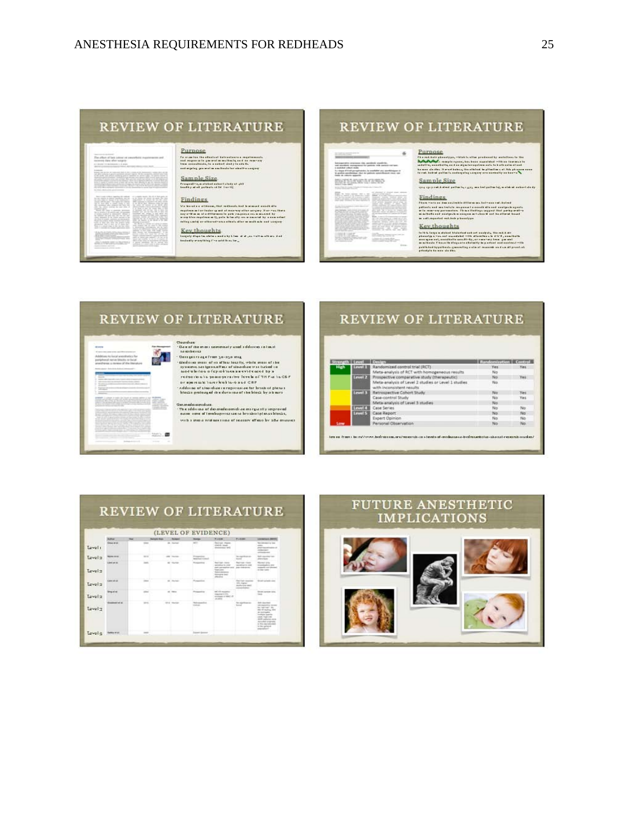## **REVIEW OF LITERATURE**

Purnose

# affort of best adopt on your

|                                                                                                    |                               | A polyclassics and he  a for time by more to prai. A<br>the basic of their processes in the class of the control of the con- |
|----------------------------------------------------------------------------------------------------|-------------------------------|------------------------------------------------------------------------------------------------------------------------------|
|                                                                                                    |                               | tan'd that this is local lock a last 1-8-9-9-9 and -dimensional                                                              |
| Alley Leaderson, John                                                                              | straighted with Thirds, 2002. | the company and distances are not restrict                                                                                   |
|                                                                                                    | the the color children of     | ------------                                                                                                                 |
| and a fire of the state of the con-<br>State of the State State                                    |                               |                                                                                                                              |
| <b>Service Controllers</b>                                                                         | ad- tol announce              |                                                                                                                              |
|                                                                                                    |                               | we want is not are<br>and look clients are                                                                                   |
| a construction of the streets partners                                                             |                               | presented the line of including that the                                                                                     |
| <b>Britain College and American</b><br>the state problems section constraints that the be-         |                               | and the families in the district of the                                                                                      |
| them of their airs time and women band                                                             |                               | and the property of the country<br>the age of the company of the first of                                                    |
| Strakehold data of their the all the standard<br>hand a company show to this dependence of the     |                               |                                                                                                                              |
| more than the property of the con-                                                                 |                               | and manufacturer and in                                                                                                      |
| ----                                                                                               |                               | come new weapon                                                                                                              |
| the dealership and the state of the state<br>and the the state and should did the form of the con- | ____                          | <b>CONTRACTOR</b>                                                                                                            |
| and the property of the property of the con-<br>the property of the control of the con-            |                               | ment dealers and control                                                                                                     |
| the structure of the property of the                                                               |                               | ---<br>The company of the company                                                                                            |
|                                                                                                    |                               |                                                                                                                              |
| _____                                                                                              |                               | <b>Sales and Construction</b>                                                                                                |
|                                                                                                    |                               | ----                                                                                                                         |

**The contract of the state of the contract of the contract of the contract of the contract of the contract of the contract of the contract of the contract of the contract of the contract of the contract of the contract of** 

# Sample Size<br>trageding state take the property of any<br>technological primeter of the UP

Findings

# **REVIEW OF LITERATURE**

 $\frac{1}{2}$  ,  $\frac{1}{2}$  ,  $\frac{1}{2}$  ,  $\frac{1}{2}$  ,  $\frac{1}{2}$  ,  $\frac{1}{2}$  ,  $\frac{1}{2}$ Second price and produced and produced and prices.<br>Let also be a produced for patients with animals cut boxs.<br>In published pribert study To these of that per services is available are associations of the profit to an excellent control of the profit of the profit of the control ones are merstewarano Brevar Kr **William** Bay

# Sample Size<br>or assessing relative case and relatively a side of color in the

Findings<br>the country the contract of the contract of the contract of the contract of the contract of the contract of the<br>contract of the contract of the contract of the contract of the contract of the contract of the contr Fiber – res and disc analysis is different unit between end stational<br>publishes and maximized response in a could also and analysis a gratic<br>as in result and maximized response in indiage segment that puring undiver<br>as a s

#### Key thoughts

The large stated Midsted ask of such the basic is the large stated Midsted ask of such the large stated Midsted ask of such the planets is at the large stated Midsted and the large stated in the stated of the stated as a s



## **REVIEW OF LITERATURE**

|     | <b>Cryst 11</b> | Randomized control trial (RCT)                                                   | Randomization Control<br>Ves | Yes: |
|-----|-----------------|----------------------------------------------------------------------------------|------------------------------|------|
|     |                 | Meta-analysis of RCT with homogeneous results.                                   | No                           |      |
|     | Level 2         | Prospective comparative study (therapeutic)                                      | No                           | Veir |
|     |                 | Meta-analysis of Level 2 studies or Level 1 studies<br>with inconsistent results | No.                          |      |
|     | <b>Level 3</b>  | Retrospective Cohort Study                                                       | No                           | Yes  |
|     |                 | Case-control Study                                                               | No                           | Yes. |
|     |                 | Meta-analysis of Level 3 studies                                                 | No                           |      |
|     | anyel &         | Case Series                                                                      | No                           | No   |
|     | Largest S.      | Case Report                                                                      | No                           | No:  |
|     |                 | <b>Expert Opinion</b>                                                            | No                           | No   |
| Low |                 | Personal Observation                                                             | No                           | No.  |

## **REVIEW OF LITERATURE**



## **FUTURE ANESTHETIC IMPLICATIONS**

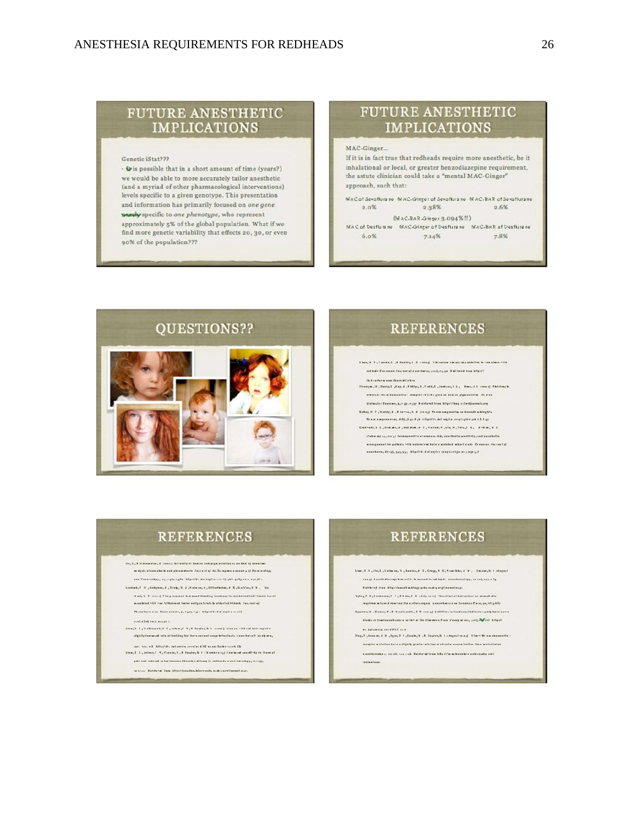## **FUTURE ANESTHETIC IMPLICATIONS**

#### Genetic iStat???

· Wis possible that in a short amount of time (years?) we would be able to more accurately tailor anesthetic (and a myriad of other pharmacological interventions) levels specific to a given genotype. This presentation and information has primarily focused on one gene parchy specific to one phenotype, who represent approximately 5% of the global population. What if we find more genetic variability that effects 20, 30, or even 90% of the population???

## **FUTURE ANESTHETIC IMPLICATIONS**

MAC-Ginger...

If it is in fact true that redheads require more anesthetic, be it inhalational or local, or greater benzodiazepine requirement, the astute clinician could take a "mental MAC-Ginger" approach, such that:

MAC of Sevoflura ne MAC-Ginger of Sevoflura ne MAC-BAR of Sevoflura ne 2.38% 2.6%  $2.0\%$ 

 $(MAC-BAR-Ginger3.094%!!)$ MAC of Desflumne MAC-Ginger of Desflumne MAC-BAR of Desflumne 6.0% 7.14% 7.8%

QUESTIONS??  $100000$ 

## **REFERENCES**

Then, V. S., Fueste, C., E. Bester, J. D. creag). V.Massies are set two setation is rate class. - (It mebale Cananana Janzaningi mawikarini yang engin Kalelarad kam bilipote

the bice of any state channel Henryw, H., Henly, L., Eng. J., Philips, L., Pedd, E., Joshuns, L.J., . Ross, J.L. sensor | Philologon allested the adventured to consider (VII-F) causes however plus solution. By more Kalmalar Consume, p, e 30 - e 327. I alchamé fram blipoléhus autordinarunta are

Deligh R. 2 , Yabdy, C., Elemes, S. C. (1993). Phone assgued by an decode whisplat Financial presences and (1.1.2.1.5). All public data eigh a compliation and A.2.1.42 date myselvery) fate .<br>Hara amamunan sish, anna lihatta se **JIT-ITy, and annulbell** 

a exeguese (for policity -til) satural rad halma molekad mbart if ofy. In execut for in a service of excelsive in department of the account of the personnel in

## **REFERENCES**

- (In, 2 , 8 Schoolston, C. crace). At smally at how on hole plymoutable in stych, at each starts and phases starts. Justice of the Prince or a second y a). Poly analog ann Panwachyp, eyjighyiighe blipirritis dal angris ciririficialit, gally en in age gli i
- taskach, ? . V., Dabghas, d., Lesh, L. V., Labans, d., Illitoth das, d., E., Labans, T. L. Gastand Vast, V. P. crace). Phop manuel is mount blacking tookeney to me, before their
	- monated-lik -sa Villakovad laster neligen lands in alderlad Hidesh, Jacoba Lel Thesekore uses Boomannes, p, ryay, e.y.s. blipotés did argita conf)
	- material continuous
- $\mathsf{blue}_1 \vdash \bot_1 \mathsf{Set} \mathsf{shmast}_2 \vdash \bot_1 \mathsf{Leb} \mathsf{w}_1 \vdash \top_1 \mathsf{Set} \mathsf{leq}_1 \vdash \bot_1 \mathsf{rank}_2 \vdash \bot_2 \mathsf{rank} \mathsf{Set} \mathsf{Set} \mathsf{Set} \mathsf{Set}$ sightly forward rate of kinduleg hat her a served easip letter tests a combined to analysis,
- s. v.2 Atlantids, datameter a revolus d'H2 me sus 3mmes sourà dia .<br>Linn, 1 . 3 , Johnny, F. 4 , Fameley, E., E. Seadery G. 1 . Vared energy | International Highle Home of
- pals and reduced in her forever. Education althought redbook, a combetrate p, in right
- to since. Entries of trem bilant franchischiary and a service etwo como emissión prima prod-

# **REFERENCES**

- Line, 2, 2, Lin, C, 2 almens, V, Centra, F. C, Cropp, F. C, Tem Hits, J. V., Techni, D. I stopped ree of direct alla regulate suits. In except in rationals, a sucharactery, calcul, 177.17 Existend from http://weedh.midtagp.pola.audi.gorg/jeerent.co.p
	- day # 3, Seekeese, # 5, # 3 da, E 4 stely raise). Floodbate (Selece
- regulation in faces of converge the auditorial pay in a search areas and faces read there, and at 3 a 42 y .<br>1992 - Taman, T., T. Fandsandis, T. E. 1992 1993 In this is land annulled in Lynny burni as
- alsen medienat tha tituesiaen Kasa S'anayawaas, 500), M<mark>a</mark>ford, 4 tiyori hisman teminesite ds datumfra errottillt i se
- Sleg, 7, Januari, J. V., Januari, J. Januari, J., V., Maust, J. C., V., V., V., V., V., V., S., St.
- coupler a steller have a digbly grader wis last a shorter coreas indice then matrid also a annhamalas ar ceir chi saarsab. Baletarut fean b Ea d'fui millandalare a aba anaba aord

texasters.